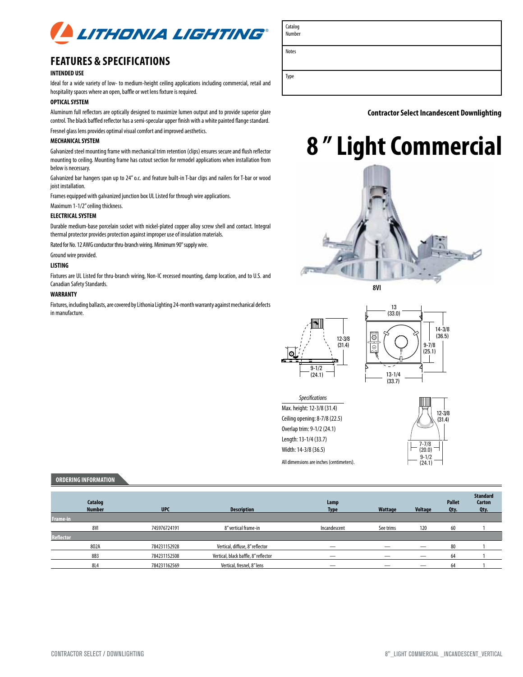

## **Features & Specifications**

#### **INTENDED USE**

Ideal for a wide variety of low- to medium-height ceiling applications including commercial, retail and hospitality spaces where an open, baffle or wet lens fixture is required.

### **OPTICAL SYSTEM**

Aluminum full reflectors are optically designed to maximize lumen output and to provide superior glare control. The black baffled reflector has a semi-specular upper finish with a white painted flange standard.

Fresnel glass lens provides optimal visual comfort and improved aesthetics.

### **MECHANICAL SYSTEM**

Galvanized steel mounting frame with mechanical trim retention (clips) ensures secure and flush reflector mounting to ceiling. Mounting frame has cutout section for remodel applications when installation from below is necessary.

Galvanized bar hangers span up to 24" o.c. and feature built-in T-bar clips and nailers for T-bar or wood joist installation.

Frames equipped with galvanized junction box UL Listed for through wire applications.

Maximum 1-1/2" ceiling thickness.

#### **ELECTRICAL SYSTEM**

Durable medium-base porcelain socket with nickel-plated copper alloy screw shell and contact. Integral thermal protector provides protection against improper use of insulation materials.

Rated for No. 12 AWG conductor thru-branch wiring. Mimimum 90° supply wire.

Ground wire provided.

#### **LISTING**

Fixtures are UL Listed for thru-branch wiring, Non-IC recessed mounting, damp location, and to U.S. and Canadian Safety Standards.

#### **WARRANTY**

Fixtures, including ballasts, are covered by Lithonia Lighting 24-month warranty against mechanical defects in manufacture.



 **Contractor Select Incandescent downlighting**

# **8 " Light Commercial**





13 (33.0)



Catalog Number

Notes

Type



All dimensions are inches (centimeters). *Specifications* Max. height: 12-3/8 (31.4) Ceiling opening: 8-7/8 (22.5) Overlap trim: 9-1/2 (24.1) Length: 13-1/4 (33.7) Width: 14-3/8 (36.5)



#### **Ordering information**

| Catalog<br><b>Number</b> | <b>UPC</b>   | <b>Description</b>                   | Lamp<br><b>Type</b> | Wattage   | <b>Voltage</b> | <b>Pallet</b><br>Qty. | <b>Standard</b><br>Carton<br>Oty. |
|--------------------------|--------------|--------------------------------------|---------------------|-----------|----------------|-----------------------|-----------------------------------|
| <b>Frame-in</b>          |              |                                      |                     |           |                |                       |                                   |
| 8VI                      | 745976724191 | 8" vertical frame-in                 | Incandescent        | See trims | 120            | 60                    |                                   |
| <b>Reflector</b>         |              |                                      |                     |           |                |                       |                                   |
| 802A                     | 784231152928 | Vertical, diffuse, 8" reflector      | _                   | _         |                | 80                    |                                   |
| 8B3                      | 784231152508 | Vertical, black baffle, 8" reflector | -                   |           |                | 64                    |                                   |
| <b>8L4</b>               | 784231162569 | Vertical, fresnel, 8" lens           |                     |           |                | 64                    |                                   |